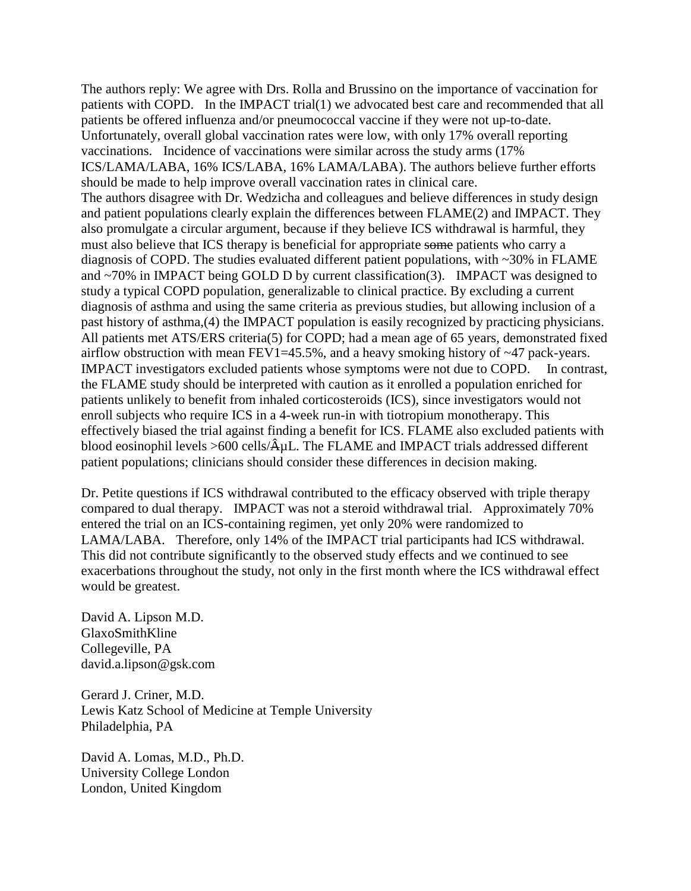The authors reply: We agree with Drs. Rolla and Brussino on the importance of vaccination for patients with COPD. In the IMPACT trial(1) we advocated best care and recommended that all patients be offered influenza and/or pneumococcal vaccine if they were not up-to-date. Unfortunately, overall global vaccination rates were low, with only 17% overall reporting vaccinations. Incidence of vaccinations were similar across the study arms (17% ICS/LAMA/LABA, 16% ICS/LABA, 16% LAMA/LABA). The authors believe further efforts should be made to help improve overall vaccination rates in clinical care. The authors disagree with Dr. Wedzicha and colleagues and believe differences in study design and patient populations clearly explain the differences between FLAME(2) and IMPACT. They also promulgate a circular argument, because if they believe ICS withdrawal is harmful, they must also believe that ICS therapy is beneficial for appropriate some patients who carry a diagnosis of COPD. The studies evaluated different patient populations, with ~30% in FLAME and  $\sim$ 70% in IMPACT being GOLD D by current classification(3). IMPACT was designed to study a typical COPD population, generalizable to clinical practice. By excluding a current diagnosis of asthma and using the same criteria as previous studies, but allowing inclusion of a past history of asthma,(4) the IMPACT population is easily recognized by practicing physicians. All patients met ATS/ERS criteria(5) for COPD; had a mean age of 65 years, demonstrated fixed airflow obstruction with mean  $FEV1=45.5%$ , and a heavy smoking history of  $\sim$ 47 pack-years. IMPACT investigators excluded patients whose symptoms were not due to COPD. In contrast, the FLAME study should be interpreted with caution as it enrolled a population enriched for patients unlikely to benefit from inhaled corticosteroids (ICS), since investigators would not enroll subjects who require ICS in a 4-week run-in with tiotropium monotherapy. This effectively biased the trial against finding a benefit for ICS. FLAME also excluded patients with blood eosinophil levels  $>600$  cells/ $\hat{A}$ uL. The FLAME and IMPACT trials addressed different patient populations; clinicians should consider these differences in decision making.

Dr. Petite questions if ICS withdrawal contributed to the efficacy observed with triple therapy compared to dual therapy. IMPACT was not a steroid withdrawal trial. Approximately 70% entered the trial on an ICS-containing regimen, yet only 20% were randomized to LAMA/LABA. Therefore, only 14% of the IMPACT trial participants had ICS withdrawal. This did not contribute significantly to the observed study effects and we continued to see exacerbations throughout the study, not only in the first month where the ICS withdrawal effect would be greatest.

David A. Lipson M.D. GlaxoSmithKline Collegeville, PA david.a.lipson@gsk.com

Gerard J. Criner, M.D. Lewis Katz School of Medicine at Temple University Philadelphia, PA

David A. Lomas, M.D., Ph.D. University College London London, United Kingdom